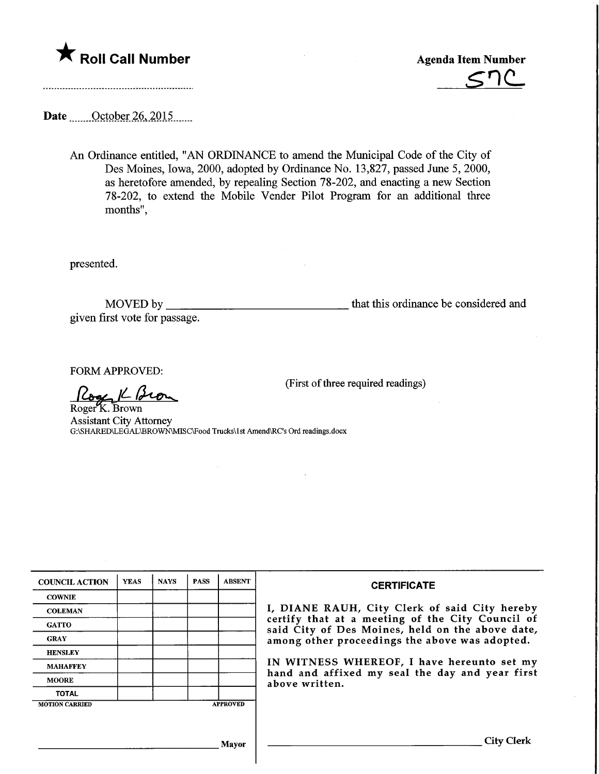

Sr)C-

Date <u>October 26</u>, 2015

An Ordinance entitled, "AN ORDINANCE to amend the Municipal Code of the City of Des Moines, Iowa, 2000, adopted by Ordinance No. 13,827, passed June 5, 2000, as heretofore amended, by repealing Section 78-202, and enacting a new Section 78-202, to extend the Mobile Vender Pilot Program for an additional three months",

presented.

MOVED by that this ordinance be considered and given first vote for passage.

FORM APPROVED:

 $k$ Bron

RogerX. Brown Assistant City Attorney G:\SHARED\LEGAL\BROWN\MISC\Food Trucks\1st Amend\RC's Ord readings.docx

| <b>COUNCIL ACTION</b> | <b>YEAS</b> | <b>NAYS</b> | <b>PASS</b> | <b>ABSENT</b>   | <b>CERTIFICATE</b>                                                                                                                                                                                                                                                                                                         |
|-----------------------|-------------|-------------|-------------|-----------------|----------------------------------------------------------------------------------------------------------------------------------------------------------------------------------------------------------------------------------------------------------------------------------------------------------------------------|
| <b>COWNIE</b>         |             |             |             |                 |                                                                                                                                                                                                                                                                                                                            |
| <b>COLEMAN</b>        |             |             |             |                 | I, DIANE RAUH, City Clerk of said City hereby<br>certify that at a meeting of the City Council of<br>said City of Des Moines, held on the above date,<br>among other proceedings the above was adopted.<br>IN WITNESS WHEREOF, I have hereunto set my<br>hand and affixed my seal the day and year first<br>above written. |
| <b>GATTO</b>          |             |             |             |                 |                                                                                                                                                                                                                                                                                                                            |
| <b>GRAY</b>           |             |             |             |                 |                                                                                                                                                                                                                                                                                                                            |
| <b>HENSLEY</b>        |             |             |             |                 |                                                                                                                                                                                                                                                                                                                            |
| <b>MAHAFFEY</b>       |             |             |             |                 |                                                                                                                                                                                                                                                                                                                            |
| <b>MOORE</b>          |             |             |             |                 |                                                                                                                                                                                                                                                                                                                            |
| <b>TOTAL</b>          |             |             |             |                 |                                                                                                                                                                                                                                                                                                                            |
| <b>MOTION CARRIED</b> |             |             |             | <b>APPROVED</b> |                                                                                                                                                                                                                                                                                                                            |
|                       |             |             |             |                 |                                                                                                                                                                                                                                                                                                                            |
| Mavor                 |             |             |             |                 | <b>City Clerk</b>                                                                                                                                                                                                                                                                                                          |

(First of three required readings)